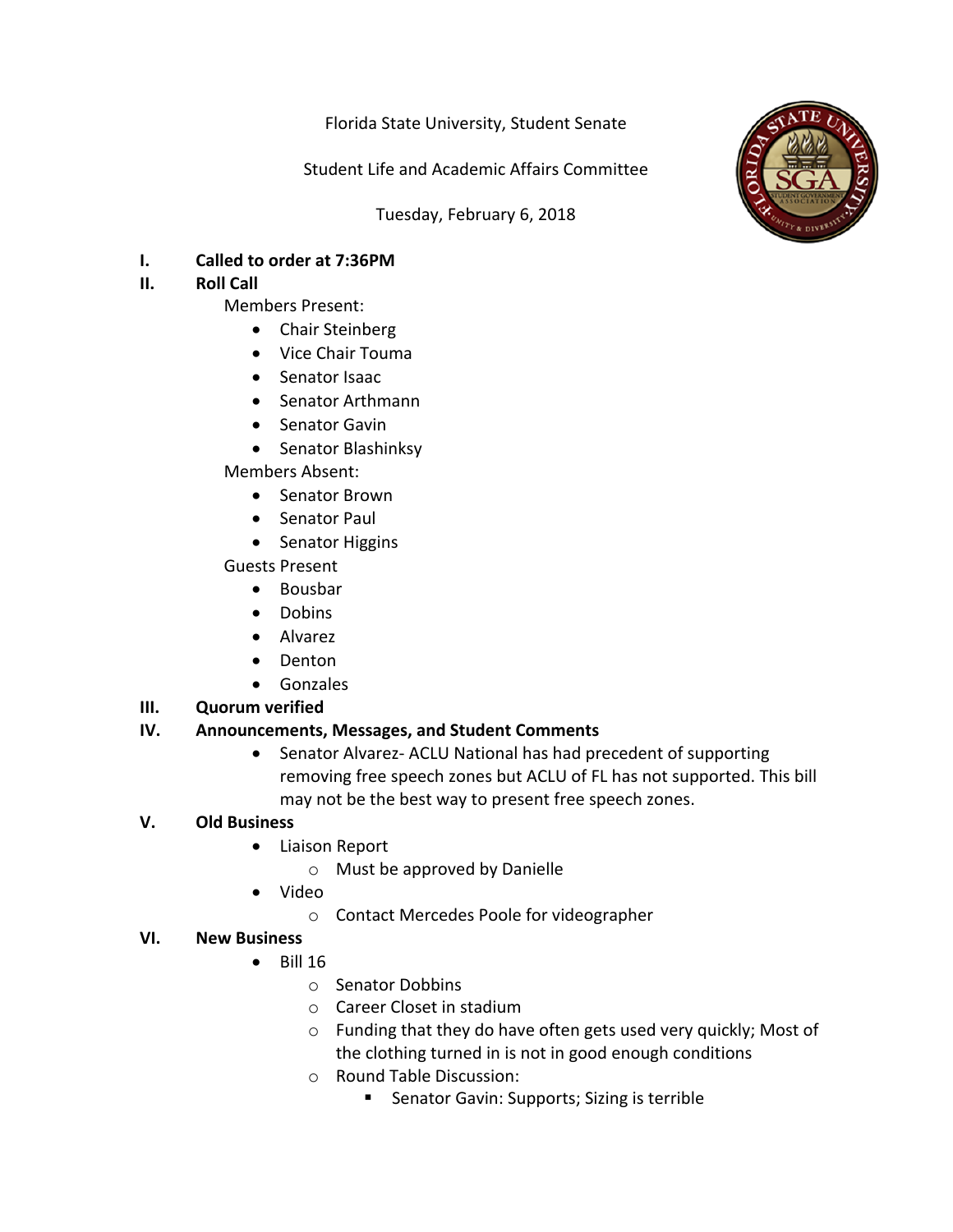Florida State University, Student Senate

Student Life and Academic Affairs Committee

Tuesday, February 6, 2018



# **I.** Called to order at 7:36PM

# **II.** Roll Call

- Members Present:
	- Chair Steinberg
	- Vice Chair Touma
	- Senator Isaac
	- Senator Arthmann
	- Senator Gavin
	- Senator Blashinksy

Members Absent:

- Senator Brown
- Senator Paul
- Senator Higgins

Guests Present

- Bousbar
- Dobins
- Alvarez
- Denton
- Gonzales

# **III.** Quorum verified

### **IV.** Announcements, Messages, and Student Comments

• Senator Alvarez- ACLU National has had precedent of supporting removing free speech zones but ACLU of FL has not supported. This bill may not be the best way to present free speech zones.

### **V. Old Business**

- Liaison Report
	- $\circ$  Must be approved by Danielle
- Video
	- o Contact Mercedes Poole for videographer

### **VI. New Business**

- $\bullet$  Bill 16
	- o Senator Dobbins
	- $\circ$  Career Closet in stadium
	- $\circ$  Funding that they do have often gets used very quickly; Most of the clothing turned in is not in good enough conditions
	- $\circ$  Round Table Discussion:
		- Senator Gavin: Supports; Sizing is terrible